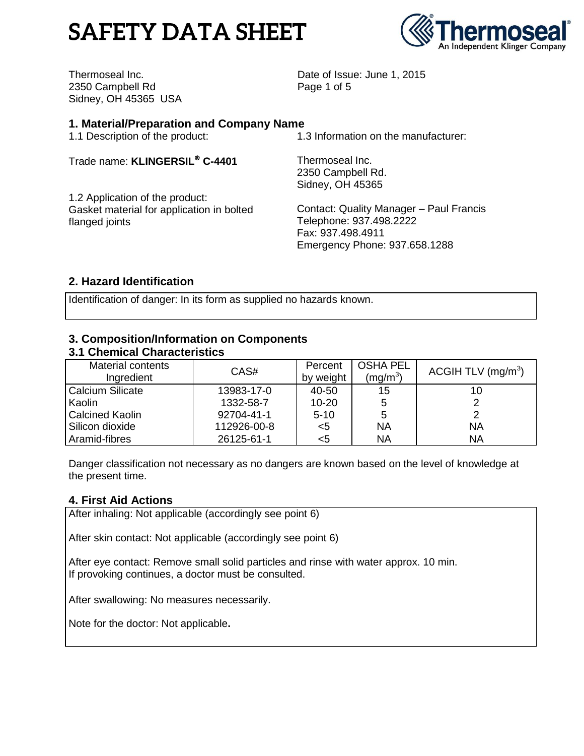# **SAFETY DATA SHEET**



Thermoseal Inc. 2350 Campbell Rd Sidney, OH 45365 USA Date of Issue: June 1, 2015 Page 1 of 5

## **1. Material/Preparation and Company Name**

1.1 Description of the product:

Trade name: **KLINGERSIL C-4401**

1.2 Application of the product: Gasket material for application in bolted flanged joints

1.3 Information on the manufacturer:

Thermoseal Inc. 2350 Campbell Rd. Sidney, OH 45365

Contact: Quality Manager – Paul Francis Telephone: 937.498.2222 Fax: 937.498.4911 Emergency Phone: 937.658.1288

# **2. Hazard Identification**

Identification of danger: In its form as supplied no hazards known.

# **3. Composition/Information on Components**

#### **3.1 Chemical Characteristics** Material contents Ingredient CAS# Percent by weight OSHA PEL  $(mg/m^3)$ ACGIH TLV (mg/m $3$ ) Calcium Silicate Kaolin Calcined Kaolin Silicon dioxide Aramid-fibres 13983-17-0 1332-58-7 92704-41-1 112926-00-8 26125-61-1 40-50 10-20 5-10 <5 <5 15 5 5 NA NA 10 2 2 NA NA

Danger classification not necessary as no dangers are known based on the level of knowledge at the present time.

# **4. First Aid Actions**

After inhaling: Not applicable (accordingly see point 6)

After skin contact: Not applicable (accordingly see point 6)

After eye contact: Remove small solid particles and rinse with water approx. 10 min. If provoking continues, a doctor must be consulted.

After swallowing: No measures necessarily.

Note for the doctor: Not applicable**.**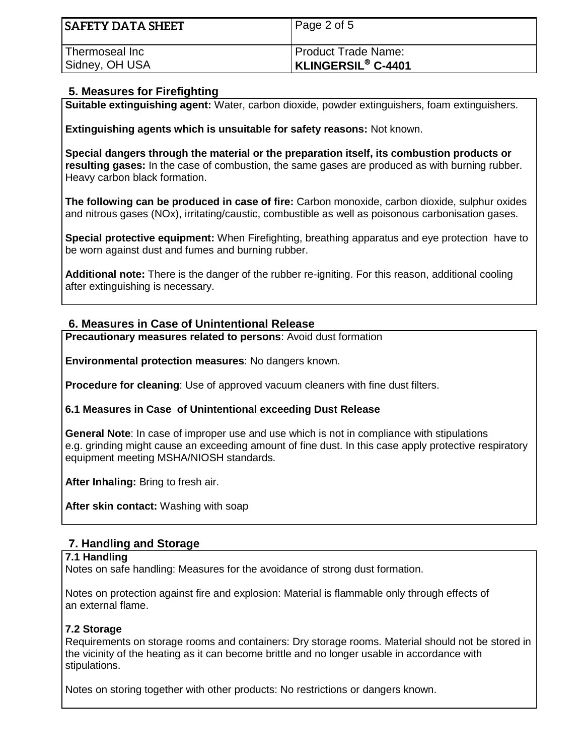| <b>SAFETY DATA SHEET</b> | Page 2 of 5               |
|--------------------------|---------------------------|
| Thermoseal Inc           | Product Trade Name:       |
| Sidney, OH USA           | <b>KLINGERSIL® C-4401</b> |

# **5. Measures for Firefighting**

**Suitable extinguishing agent:** Water, carbon dioxide, powder extinguishers, foam extinguishers.

**Extinguishing agents which is unsuitable for safety reasons:** Not known.

**Special dangers through the material or the preparation itself, its combustion products or resulting gases:** In the case of combustion, the same gases are produced as with burning rubber. Heavy carbon black formation.

**The following can be produced in case of fire:** Carbon monoxide, carbon dioxide, sulphur oxides and nitrous gases (NOx), irritating/caustic, combustible as well as poisonous carbonisation gases.

**Special protective equipment:** When Firefighting, breathing apparatus and eye protection have to be worn against dust and fumes and burning rubber.

**Additional note:** There is the danger of the rubber re-igniting. For this reason, additional cooling after extinguishing is necessary.

#### **6. Measures in Case of Unintentional Release**

**Precautionary measures related to persons**: Avoid dust formation

**Environmental protection measures**: No dangers known.

**Procedure for cleaning**: Use of approved vacuum cleaners with fine dust filters.

#### **6.1 Measures in Case of Unintentional exceeding Dust Release**

**General Note**: In case of improper use and use which is not in compliance with stipulations e.g. grinding might cause an exceeding amount of fine dust. In this case apply protective respiratory equipment meeting MSHA/NIOSH standards.

**After Inhaling:** Bring to fresh air.

**After skin contact:** Washing with soap

# **7. Handling and Storage**

#### **7.1 Handling**

Notes on safe handling: Measures for the avoidance of strong dust formation.

Notes on protection against fire and explosion: Material is flammable only through effects of an external flame.

#### **7.2 Storage**

Requirements on storage rooms and containers: Dry storage rooms. Material should not be stored in the vicinity of the heating as it can become brittle and no longer usable in accordance with stipulations.

Notes on storing together with other products: No restrictions or dangers known.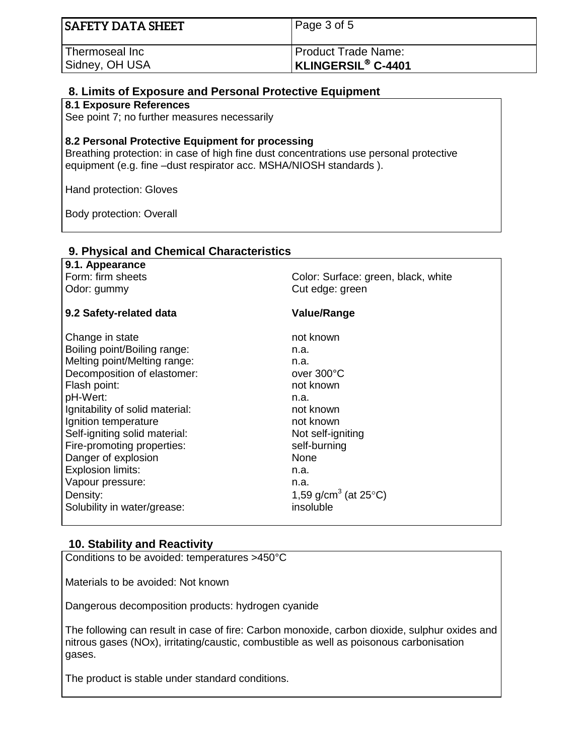| <b>SAFETY DATA SHEET</b> | Page 3 of 5                          |
|--------------------------|--------------------------------------|
| Thermoseal Inc           | <b>Product Trade Name:</b>           |
| Sidney, OH USA           | <b>KLINGERSIL<sup>®</sup> C-4401</b> |

#### **8. Limits of Exposure and Personal Protective Equipment**

#### **8.1 Exposure References**

See point 7; no further measures necessarily

#### **8.2 Personal Protective Equipment for processing**

**9. Physical and Chemical Characteristics**

Breathing protection: in case of high fine dust concentrations use personal protective equipment (e.g. fine –dust respirator acc. MSHA/NIOSH standards ).

Hand protection: Gloves

Body protection: Overall

| 9.1. Appearance                 |                                            |  |
|---------------------------------|--------------------------------------------|--|
| Form: firm sheets               | Color: Surface: green, black, white        |  |
| Odor: gummy                     | Cut edge: green                            |  |
|                                 |                                            |  |
| 9.2 Safety-related data         | <b>Value/Range</b>                         |  |
|                                 |                                            |  |
| Change in state                 | not known                                  |  |
| Boiling point/Boiling range:    | n.a.                                       |  |
| Melting point/Melting range:    | n.a.                                       |  |
| Decomposition of elastomer:     | over 300°C                                 |  |
| Flash point:                    | not known                                  |  |
| pH-Wert:                        | n.a.                                       |  |
| Ignitability of solid material: | not known                                  |  |
| Ignition temperature            | not known                                  |  |
| Self-igniting solid material:   | Not self-igniting                          |  |
| Fire-promoting properties:      | self-burning                               |  |
| Danger of explosion             | None                                       |  |
| <b>Explosion limits:</b>        | n.a.                                       |  |
| Vapour pressure:                | n.a.                                       |  |
| Density:                        | 1,59 g/cm <sup>3</sup> (at $25^{\circ}$ C) |  |
| Solubility in water/grease:     | insoluble                                  |  |
|                                 |                                            |  |

#### **10. Stability and Reactivity**

Conditions to be avoided: temperatures >450°C

Materials to be avoided: Not known

Dangerous decomposition products: hydrogen cyanide

The following can result in case of fire: Carbon monoxide, carbon dioxide, sulphur oxides and nitrous gases (NOx), irritating/caustic, combustible as well as poisonous carbonisation gases.

The product is stable under standard conditions.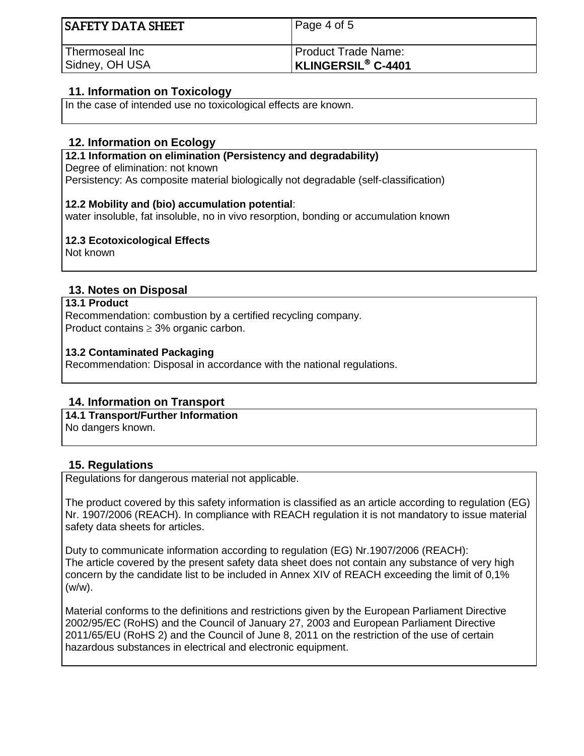| <b>SAFETY DATA SHEET</b> | Page 4 of 5               |
|--------------------------|---------------------------|
| Thermoseal Inc           | Product Trade Name:       |
| Sidney, OH USA           | <b>KLINGERSIL® C-4401</b> |

# **11. Information on Toxicology**

In the case of intended use no toxicological effects are known.

### **12. Information on Ecology**

#### **12.1 Information on elimination (Persistency and degradability)**

Degree of elimination: not known

Persistency: As composite material biologically not degradable (self-classification)

#### **12.2 Mobility and (bio) accumulation potential**:

water insoluble, fat insoluble, no in vivo resorption, bonding or accumulation known

#### **12.3 Ecotoxicological Effects**

Not known

#### **13. Notes on Disposal**

#### **13.1 Product**

Recommendation: combustion by a certified recycling company. Product contains  $\geq$  3% organic carbon.

#### **13.2 Contaminated Packaging**

Recommendation: Disposal in accordance with the national regulations.

# **14. Information on Transport**

#### **14.1 Transport/Further Information**

No dangers known.

# **15. Regulations**

Regulations for dangerous material not applicable.

The product covered by this safety information is classified as an article according to regulation (EG) Nr. 1907/2006 (REACH). In compliance with REACH regulation it is not mandatory to issue material safety data sheets for articles.

Duty to communicate information according to regulation (EG) Nr.1907/2006 (REACH): The article covered by the present safety data sheet does not contain any substance of very high concern by the candidate list to be included in Annex XIV of REACH exceeding the limit of 0,1% (w/w).

Material conforms to the definitions and restrictions given by the European Parliament Directive 2002/95/EC (RoHS) and the Council of January 27, 2003 and European Parliament Directive 2011/65/EU (RoHS 2) and the Council of June 8, 2011 on the restriction of the use of certain hazardous substances in electrical and electronic equipment.